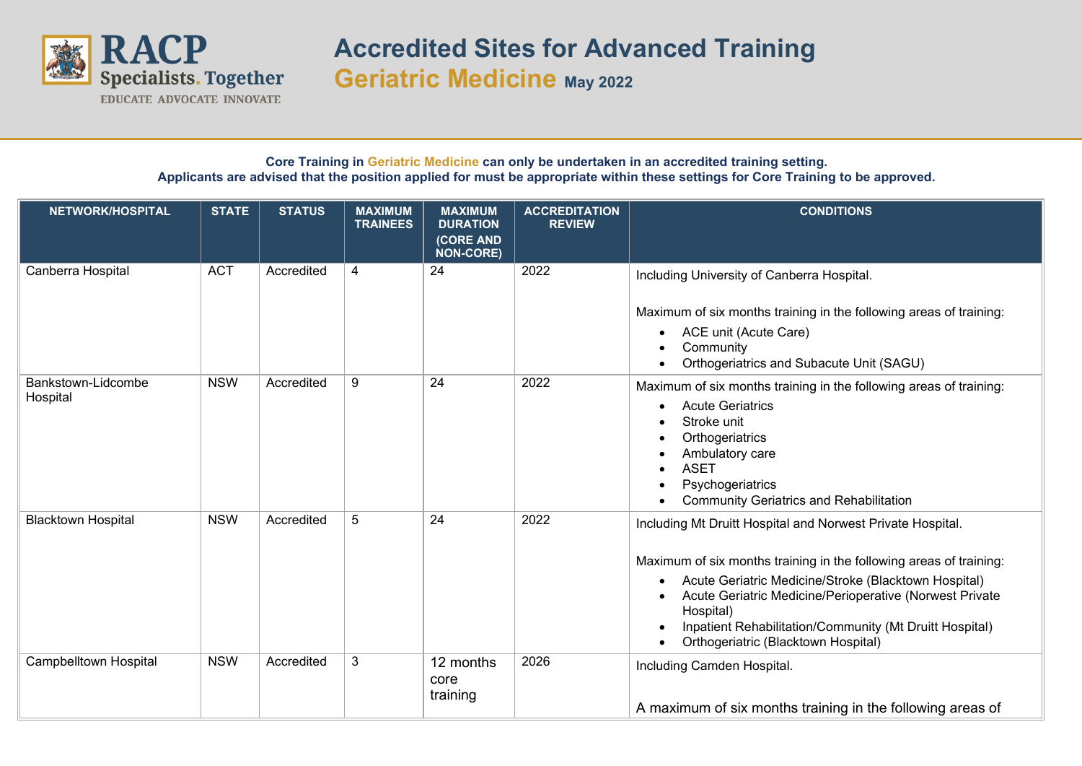

**Accredited Sites for Advanced Training Geriatric Medicine May <sup>2022</sup>**

## **Core Training in Geriatric Medicine can only be undertaken in an accredited training setting. Applicants are advised that the position applied for must be appropriate within these settings for Core Training to be approved.**

| NETWORK/HOSPITAL               | <b>STATE</b> | <b>STATUS</b> | <b>MAXIMUM</b><br><b>TRAINEES</b> | <b>MAXIMUM</b><br><b>DURATION</b><br>(CORE AND<br><b>NON-CORE)</b> | <b>ACCREDITATION</b><br><b>REVIEW</b> | <b>CONDITIONS</b>                                                                                                                                                                                                                                                                                                                                                               |
|--------------------------------|--------------|---------------|-----------------------------------|--------------------------------------------------------------------|---------------------------------------|---------------------------------------------------------------------------------------------------------------------------------------------------------------------------------------------------------------------------------------------------------------------------------------------------------------------------------------------------------------------------------|
| Canberra Hospital              | <b>ACT</b>   | Accredited    | 4                                 | 24                                                                 | 2022                                  | Including University of Canberra Hospital.<br>Maximum of six months training in the following areas of training:<br>ACE unit (Acute Care)<br>Community<br>Orthogeriatrics and Subacute Unit (SAGU)                                                                                                                                                                              |
| Bankstown-Lidcombe<br>Hospital | <b>NSW</b>   | Accredited    | 9                                 | 24                                                                 | 2022                                  | Maximum of six months training in the following areas of training:<br><b>Acute Geriatrics</b><br>$\bullet$<br>Stroke unit<br>Orthogeriatrics<br>Ambulatory care<br><b>ASET</b><br>Psychogeriatrics<br><b>Community Geriatrics and Rehabilitation</b>                                                                                                                            |
| <b>Blacktown Hospital</b>      | <b>NSW</b>   | Accredited    | 5                                 | 24                                                                 | 2022                                  | Including Mt Druitt Hospital and Norwest Private Hospital.<br>Maximum of six months training in the following areas of training:<br>Acute Geriatric Medicine/Stroke (Blacktown Hospital)<br>$\bullet$<br>Acute Geriatric Medicine/Perioperative (Norwest Private<br>Hospital)<br>Inpatient Rehabilitation/Community (Mt Druitt Hospital)<br>Orthogeriatric (Blacktown Hospital) |
| <b>Campbelltown Hospital</b>   | <b>NSW</b>   | Accredited    | 3                                 | 12 months<br>core<br>training                                      | 2026                                  | Including Camden Hospital.<br>A maximum of six months training in the following areas of                                                                                                                                                                                                                                                                                        |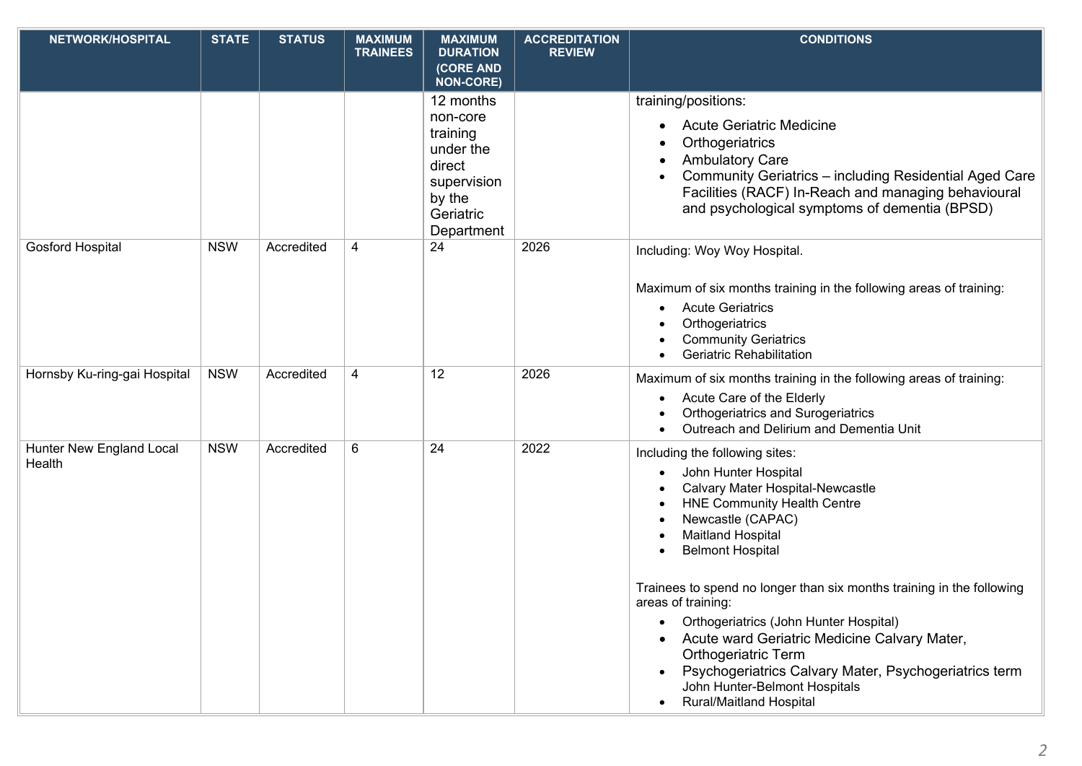| NETWORK/HOSPITAL                   | <b>STATE</b> | <b>STATUS</b> | <b>MAXIMUM</b><br><b>TRAINEES</b> | <b>MAXIMUM</b><br><b>DURATION</b>                                                                            | <b>ACCREDITATION</b><br><b>REVIEW</b> | <b>CONDITIONS</b>                                                                                                                                                                                                                                                                                                                                                                                                                                                                                                                                                            |
|------------------------------------|--------------|---------------|-----------------------------------|--------------------------------------------------------------------------------------------------------------|---------------------------------------|------------------------------------------------------------------------------------------------------------------------------------------------------------------------------------------------------------------------------------------------------------------------------------------------------------------------------------------------------------------------------------------------------------------------------------------------------------------------------------------------------------------------------------------------------------------------------|
|                                    |              |               |                                   | (CORE AND<br><b>NON-CORE)</b>                                                                                |                                       |                                                                                                                                                                                                                                                                                                                                                                                                                                                                                                                                                                              |
|                                    |              |               |                                   | 12 months<br>non-core<br>training<br>under the<br>direct<br>supervision<br>by the<br>Geriatric<br>Department |                                       | training/positions:<br><b>Acute Geriatric Medicine</b><br>Orthogeriatrics<br><b>Ambulatory Care</b><br>Community Geriatrics - including Residential Aged Care<br>Facilities (RACF) In-Reach and managing behavioural<br>and psychological symptoms of dementia (BPSD)                                                                                                                                                                                                                                                                                                        |
| <b>Gosford Hospital</b>            | <b>NSW</b>   | Accredited    | 4                                 | 24                                                                                                           | 2026                                  | Including: Woy Woy Hospital.<br>Maximum of six months training in the following areas of training:<br><b>Acute Geriatrics</b><br>Orthogeriatrics<br><b>Community Geriatrics</b><br>Geriatric Rehabilitation                                                                                                                                                                                                                                                                                                                                                                  |
| Hornsby Ku-ring-gai Hospital       | <b>NSW</b>   | Accredited    | 4                                 | 12                                                                                                           | 2026                                  | Maximum of six months training in the following areas of training:<br>Acute Care of the Elderly<br><b>Orthogeriatrics and Surogeriatrics</b><br>Outreach and Delirium and Dementia Unit                                                                                                                                                                                                                                                                                                                                                                                      |
| Hunter New England Local<br>Health | <b>NSW</b>   | Accredited    | 6                                 | 24                                                                                                           | 2022                                  | Including the following sites:<br>John Hunter Hospital<br>$\bullet$<br>Calvary Mater Hospital-Newcastle<br><b>HNE Community Health Centre</b><br>Newcastle (CAPAC)<br><b>Maitland Hospital</b><br><b>Belmont Hospital</b><br>Trainees to spend no longer than six months training in the following<br>areas of training:<br>Orthogeriatrics (John Hunter Hospital)<br>Acute ward Geriatric Medicine Calvary Mater,<br><b>Orthogeriatric Term</b><br>Psychogeriatrics Calvary Mater, Psychogeriatrics term<br>John Hunter-Belmont Hospitals<br><b>Rural/Maitland Hospital</b> |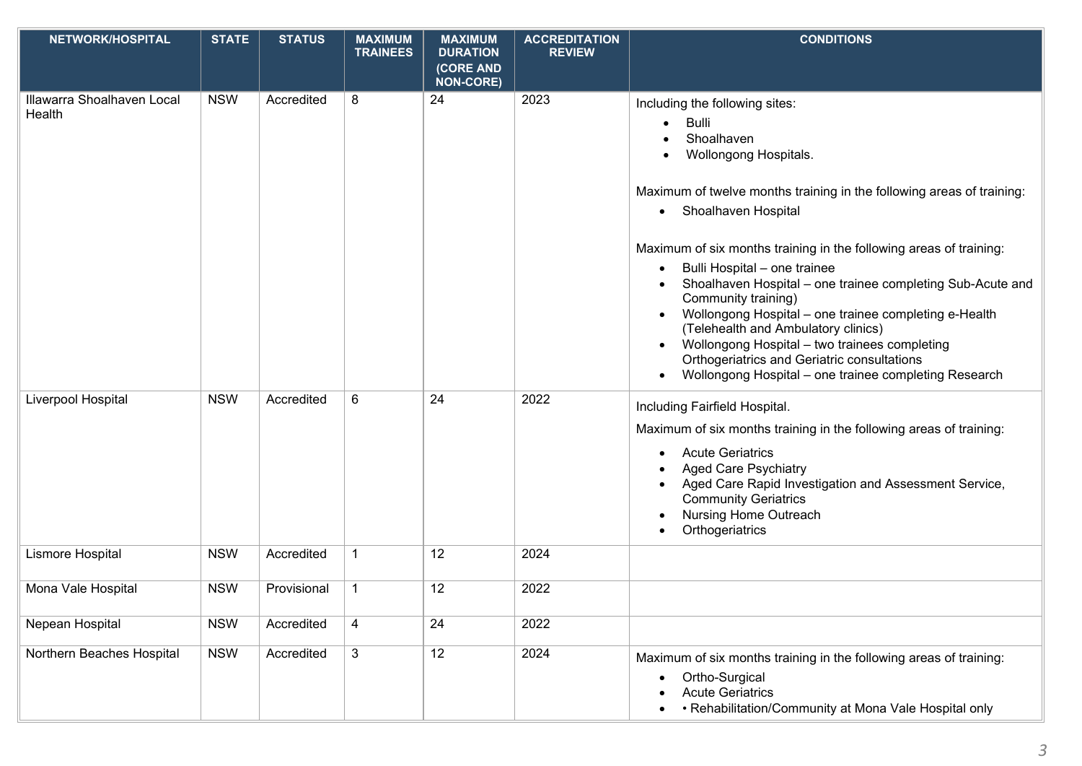| NETWORK/HOSPITAL                     | <b>STATE</b> | <b>STATUS</b> | <b>MAXIMUM</b>  | <b>MAXIMUM</b>                                   | <b>ACCREDITATION</b> | <b>CONDITIONS</b>                                                                                                                                                                                                                                                                                                                                                                                                                                                                                                                                                                                                                                        |
|--------------------------------------|--------------|---------------|-----------------|--------------------------------------------------|----------------------|----------------------------------------------------------------------------------------------------------------------------------------------------------------------------------------------------------------------------------------------------------------------------------------------------------------------------------------------------------------------------------------------------------------------------------------------------------------------------------------------------------------------------------------------------------------------------------------------------------------------------------------------------------|
|                                      |              |               | <b>TRAINEES</b> | <b>DURATION</b><br>(CORE AND<br><b>NON-CORE)</b> | <b>REVIEW</b>        |                                                                                                                                                                                                                                                                                                                                                                                                                                                                                                                                                                                                                                                          |
| Illawarra Shoalhaven Local<br>Health | <b>NSW</b>   | Accredited    | 8               | 24                                               | 2023                 | Including the following sites:<br><b>Bulli</b><br>Shoalhaven<br>Wollongong Hospitals.<br>Maximum of twelve months training in the following areas of training:<br>• Shoalhaven Hospital<br>Maximum of six months training in the following areas of training:<br>Bulli Hospital - one trainee<br>$\bullet$<br>Shoalhaven Hospital - one trainee completing Sub-Acute and<br>Community training)<br>Wollongong Hospital - one trainee completing e-Health<br>(Telehealth and Ambulatory clinics)<br>Wollongong Hospital - two trainees completing<br>Orthogeriatrics and Geriatric consultations<br>Wollongong Hospital - one trainee completing Research |
| Liverpool Hospital                   | <b>NSW</b>   | Accredited    | 6               | 24                                               | 2022                 | Including Fairfield Hospital.<br>Maximum of six months training in the following areas of training:<br><b>Acute Geriatrics</b><br>$\bullet$<br><b>Aged Care Psychiatry</b><br>Aged Care Rapid Investigation and Assessment Service,<br><b>Community Geriatrics</b><br><b>Nursing Home Outreach</b><br>Orthogeriatrics                                                                                                                                                                                                                                                                                                                                    |
| Lismore Hospital                     | <b>NSW</b>   | Accredited    | $\mathbf{1}$    | 12                                               | 2024                 |                                                                                                                                                                                                                                                                                                                                                                                                                                                                                                                                                                                                                                                          |
| Mona Vale Hospital                   | <b>NSW</b>   | Provisional   | $\mathbf{1}$    | 12                                               | 2022                 |                                                                                                                                                                                                                                                                                                                                                                                                                                                                                                                                                                                                                                                          |
| Nepean Hospital                      | <b>NSW</b>   | Accredited    | 4               | 24                                               | 2022                 |                                                                                                                                                                                                                                                                                                                                                                                                                                                                                                                                                                                                                                                          |
| Northern Beaches Hospital            | <b>NSW</b>   | Accredited    | 3               | 12                                               | 2024                 | Maximum of six months training in the following areas of training:<br>Ortho-Surgical<br><b>Acute Geriatrics</b><br>• Rehabilitation/Community at Mona Vale Hospital only                                                                                                                                                                                                                                                                                                                                                                                                                                                                                 |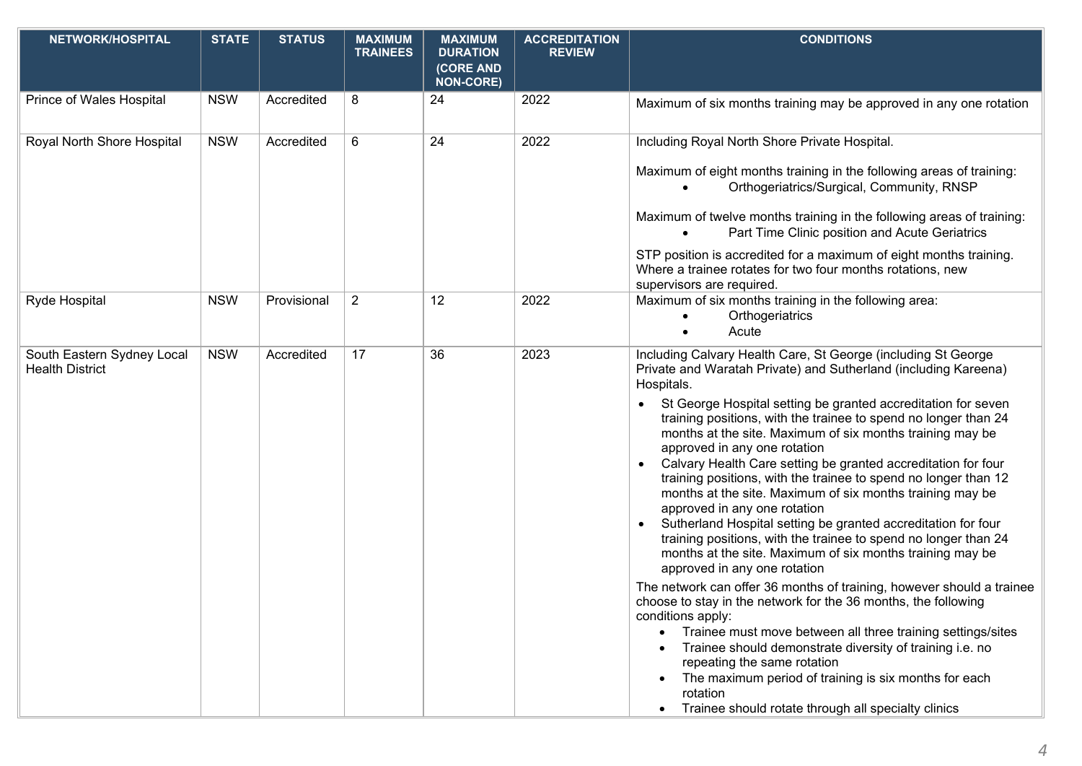| NETWORK/HOSPITAL                                     | <b>STATE</b> | <b>STATUS</b> | <b>MAXIMUM</b><br><b>TRAINEES</b> | <b>MAXIMUM</b><br><b>DURATION</b><br>(CORE AND | <b>ACCREDITATION</b><br><b>REVIEW</b> | <b>CONDITIONS</b>                                                                                                                                                                                                                                                                                                                                                                                                                                                                                                                                                                                                                                                                                                                                                                                                                                                                                                                                                                                                                                                                                                                                                                                                                                                                                                                                           |
|------------------------------------------------------|--------------|---------------|-----------------------------------|------------------------------------------------|---------------------------------------|-------------------------------------------------------------------------------------------------------------------------------------------------------------------------------------------------------------------------------------------------------------------------------------------------------------------------------------------------------------------------------------------------------------------------------------------------------------------------------------------------------------------------------------------------------------------------------------------------------------------------------------------------------------------------------------------------------------------------------------------------------------------------------------------------------------------------------------------------------------------------------------------------------------------------------------------------------------------------------------------------------------------------------------------------------------------------------------------------------------------------------------------------------------------------------------------------------------------------------------------------------------------------------------------------------------------------------------------------------------|
| Prince of Wales Hospital                             | <b>NSW</b>   | Accredited    | 8                                 | <b>NON-CORE)</b><br>24                         | 2022                                  | Maximum of six months training may be approved in any one rotation                                                                                                                                                                                                                                                                                                                                                                                                                                                                                                                                                                                                                                                                                                                                                                                                                                                                                                                                                                                                                                                                                                                                                                                                                                                                                          |
| Royal North Shore Hospital                           | <b>NSW</b>   | Accredited    | 6                                 | 24                                             | 2022                                  | Including Royal North Shore Private Hospital.<br>Maximum of eight months training in the following areas of training:<br>Orthogeriatrics/Surgical, Community, RNSP<br>Maximum of twelve months training in the following areas of training:<br>Part Time Clinic position and Acute Geriatrics<br>STP position is accredited for a maximum of eight months training.<br>Where a trainee rotates for two four months rotations, new<br>supervisors are required.                                                                                                                                                                                                                                                                                                                                                                                                                                                                                                                                                                                                                                                                                                                                                                                                                                                                                              |
| Ryde Hospital                                        | <b>NSW</b>   | Provisional   | $\overline{2}$                    | 12                                             | 2022                                  | Maximum of six months training in the following area:<br>Orthogeriatrics<br>Acute                                                                                                                                                                                                                                                                                                                                                                                                                                                                                                                                                                                                                                                                                                                                                                                                                                                                                                                                                                                                                                                                                                                                                                                                                                                                           |
| South Eastern Sydney Local<br><b>Health District</b> | <b>NSW</b>   | Accredited    | 17                                | 36                                             | 2023                                  | Including Calvary Health Care, St George (including St George<br>Private and Waratah Private) and Sutherland (including Kareena)<br>Hospitals.<br>St George Hospital setting be granted accreditation for seven<br>$\bullet$<br>training positions, with the trainee to spend no longer than 24<br>months at the site. Maximum of six months training may be<br>approved in any one rotation<br>Calvary Health Care setting be granted accreditation for four<br>$\bullet$<br>training positions, with the trainee to spend no longer than 12<br>months at the site. Maximum of six months training may be<br>approved in any one rotation<br>Sutherland Hospital setting be granted accreditation for four<br>$\bullet$<br>training positions, with the trainee to spend no longer than 24<br>months at the site. Maximum of six months training may be<br>approved in any one rotation<br>The network can offer 36 months of training, however should a trainee<br>choose to stay in the network for the 36 months, the following<br>conditions apply:<br>Trainee must move between all three training settings/sites<br>Trainee should demonstrate diversity of training i.e. no<br>repeating the same rotation<br>The maximum period of training is six months for each<br>rotation<br>Trainee should rotate through all specialty clinics<br>$\bullet$ |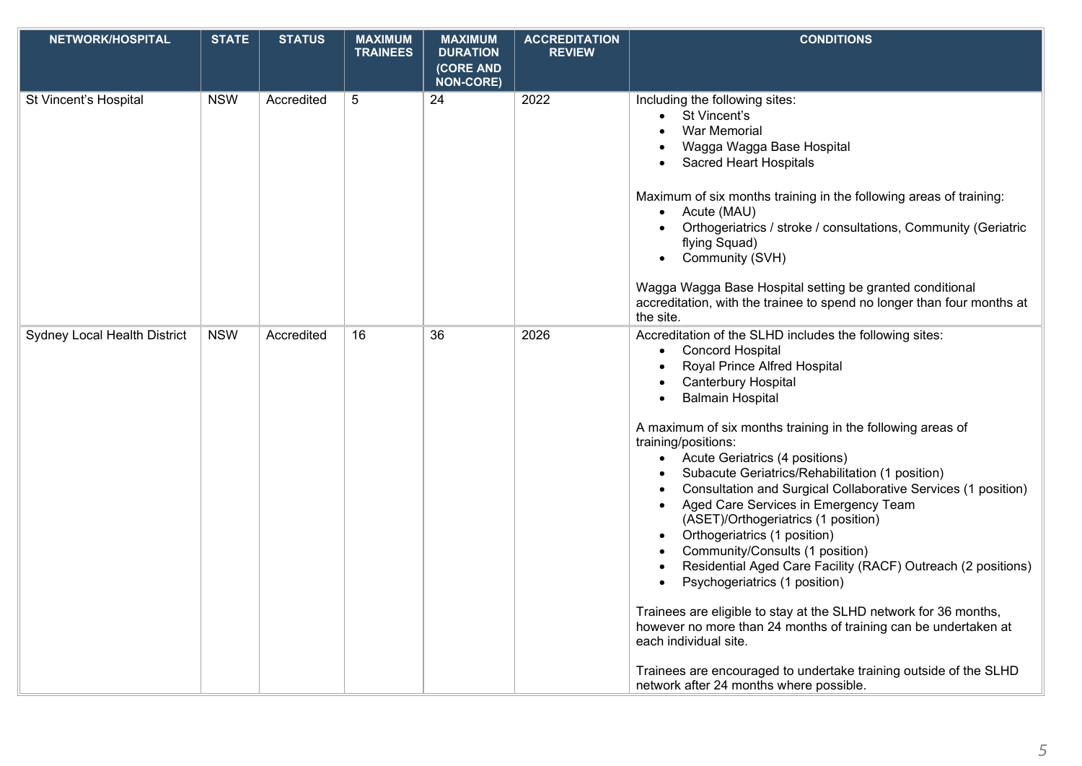| <b>NETWORK/HOSPITAL</b>             | <b>STATE</b> | <b>STATUS</b> | <b>MAXIMUM</b><br><b>TRAINEES</b> | <b>MAXIMUM</b><br><b>DURATION</b> | <b>ACCREDITATION</b><br><b>REVIEW</b> | <b>CONDITIONS</b>                                                                                                                                                                                                                                                                                                                                                                                                                                                                                                                                                                                                                                                                                                                                                                                                                                                                                                                                                              |
|-------------------------------------|--------------|---------------|-----------------------------------|-----------------------------------|---------------------------------------|--------------------------------------------------------------------------------------------------------------------------------------------------------------------------------------------------------------------------------------------------------------------------------------------------------------------------------------------------------------------------------------------------------------------------------------------------------------------------------------------------------------------------------------------------------------------------------------------------------------------------------------------------------------------------------------------------------------------------------------------------------------------------------------------------------------------------------------------------------------------------------------------------------------------------------------------------------------------------------|
|                                     |              |               |                                   | (CORE AND<br><b>NON-CORE)</b>     |                                       |                                                                                                                                                                                                                                                                                                                                                                                                                                                                                                                                                                                                                                                                                                                                                                                                                                                                                                                                                                                |
| St Vincent's Hospital               | <b>NSW</b>   | Accredited    | 5                                 | 24                                | 2022                                  | Including the following sites:<br>St Vincent's<br>$\bullet$<br>War Memorial<br>Wagga Wagga Base Hospital<br>Sacred Heart Hospitals<br>Maximum of six months training in the following areas of training:<br>Acute (MAU)<br>$\bullet$<br>Orthogeriatrics / stroke / consultations, Community (Geriatric<br>flying Squad)<br>Community (SVH)<br>$\bullet$<br>Wagga Wagga Base Hospital setting be granted conditional                                                                                                                                                                                                                                                                                                                                                                                                                                                                                                                                                            |
|                                     |              |               |                                   |                                   |                                       | accreditation, with the trainee to spend no longer than four months at<br>the site.                                                                                                                                                                                                                                                                                                                                                                                                                                                                                                                                                                                                                                                                                                                                                                                                                                                                                            |
| <b>Sydney Local Health District</b> | <b>NSW</b>   | Accredited    | 16                                | 36                                | 2026                                  | Accreditation of the SLHD includes the following sites:<br><b>Concord Hospital</b><br>$\bullet$<br>Royal Prince Alfred Hospital<br>Canterbury Hospital<br><b>Balmain Hospital</b><br>$\bullet$<br>A maximum of six months training in the following areas of<br>training/positions:<br>• Acute Geriatrics (4 positions)<br>Subacute Geriatrics/Rehabilitation (1 position)<br>Consultation and Surgical Collaborative Services (1 position)<br>Aged Care Services in Emergency Team<br>(ASET)/Orthogeriatrics (1 position)<br>Orthogeriatrics (1 position)<br>Community/Consults (1 position)<br>Residential Aged Care Facility (RACF) Outreach (2 positions)<br>Psychogeriatrics (1 position)<br>Trainees are eligible to stay at the SLHD network for 36 months,<br>however no more than 24 months of training can be undertaken at<br>each individual site.<br>Trainees are encouraged to undertake training outside of the SLHD<br>network after 24 months where possible. |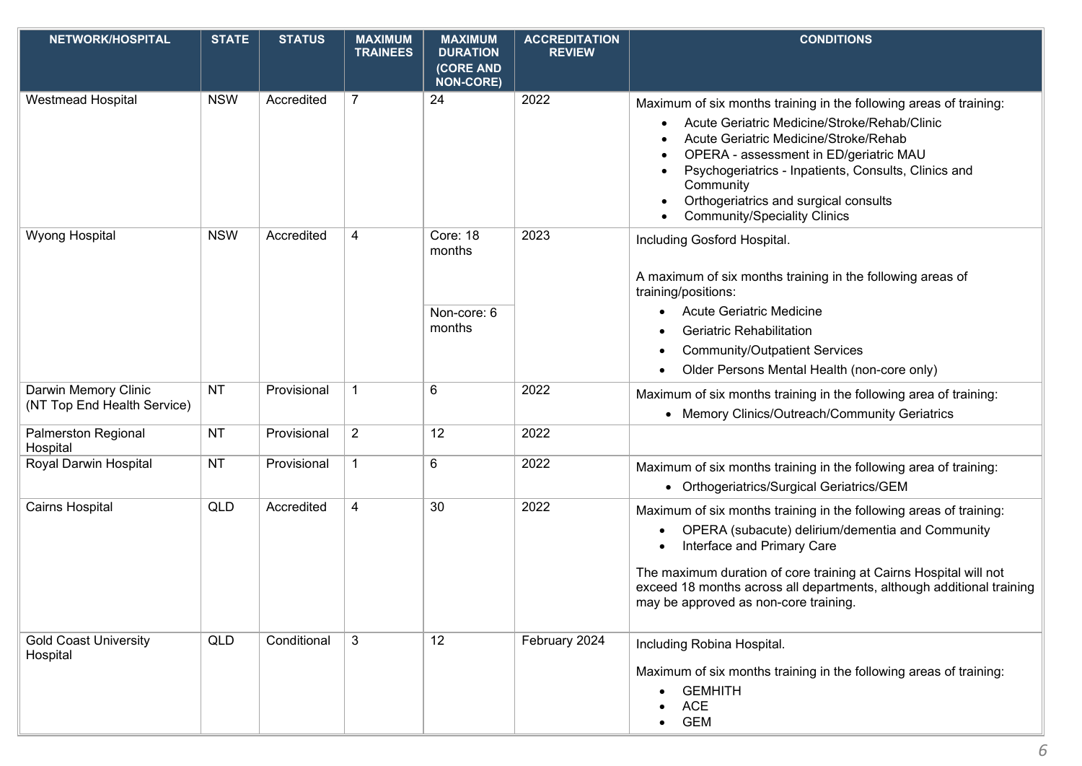| <b>NETWORK/HOSPITAL</b>                             | <b>STATE</b> | <b>STATUS</b> | <b>MAXIMUM</b><br><b>TRAINEES</b> | <b>MAXIMUM</b><br><b>DURATION</b> | <b>ACCREDITATION</b><br><b>REVIEW</b> | <b>CONDITIONS</b>                                                                                                                                                                                                                                                                                                   |
|-----------------------------------------------------|--------------|---------------|-----------------------------------|-----------------------------------|---------------------------------------|---------------------------------------------------------------------------------------------------------------------------------------------------------------------------------------------------------------------------------------------------------------------------------------------------------------------|
|                                                     |              |               |                                   | (CORE AND<br><b>NON-CORE)</b>     |                                       |                                                                                                                                                                                                                                                                                                                     |
| Westmead Hospital                                   | <b>NSW</b>   | Accredited    | $\overline{7}$                    | 24                                | 2022                                  | Maximum of six months training in the following areas of training:<br>Acute Geriatric Medicine/Stroke/Rehab/Clinic<br>Acute Geriatric Medicine/Stroke/Rehab<br>OPERA - assessment in ED/geriatric MAU<br>Psychogeriatrics - Inpatients, Consults, Clinics and<br>Community<br>Orthogeriatrics and surgical consults |
| <b>Wyong Hospital</b>                               | <b>NSW</b>   | Accredited    | 4                                 | Core: 18<br>months                | 2023                                  | <b>Community/Speciality Clinics</b><br>Including Gosford Hospital.                                                                                                                                                                                                                                                  |
|                                                     |              |               |                                   |                                   |                                       | A maximum of six months training in the following areas of<br>training/positions:                                                                                                                                                                                                                                   |
|                                                     |              |               |                                   | Non-core: 6                       |                                       | <b>Acute Geriatric Medicine</b>                                                                                                                                                                                                                                                                                     |
|                                                     |              |               |                                   | months                            |                                       | <b>Geriatric Rehabilitation</b>                                                                                                                                                                                                                                                                                     |
|                                                     |              |               |                                   |                                   |                                       | <b>Community/Outpatient Services</b>                                                                                                                                                                                                                                                                                |
|                                                     |              |               |                                   |                                   |                                       | Older Persons Mental Health (non-core only)                                                                                                                                                                                                                                                                         |
| Darwin Memory Clinic<br>(NT Top End Health Service) | <b>NT</b>    | Provisional   | 1                                 | 6                                 | 2022                                  | Maximum of six months training in the following area of training:                                                                                                                                                                                                                                                   |
|                                                     |              |               |                                   |                                   |                                       | • Memory Clinics/Outreach/Community Geriatrics                                                                                                                                                                                                                                                                      |
| Palmerston Regional<br>Hospital                     | <b>NT</b>    | Provisional   | $\overline{2}$                    | 12                                | 2022                                  |                                                                                                                                                                                                                                                                                                                     |
| Royal Darwin Hospital                               | <b>NT</b>    | Provisional   | $\mathbf 1$                       | 6                                 | 2022                                  | Maximum of six months training in the following area of training:                                                                                                                                                                                                                                                   |
|                                                     |              |               |                                   |                                   |                                       | • Orthogeriatrics/Surgical Geriatrics/GEM                                                                                                                                                                                                                                                                           |
| Cairns Hospital                                     | <b>QLD</b>   | Accredited    | 4                                 | 30                                | 2022                                  | Maximum of six months training in the following areas of training:                                                                                                                                                                                                                                                  |
|                                                     |              |               |                                   |                                   |                                       | OPERA (subacute) delirium/dementia and Community<br>Interface and Primary Care                                                                                                                                                                                                                                      |
|                                                     |              |               |                                   |                                   |                                       | The maximum duration of core training at Cairns Hospital will not<br>exceed 18 months across all departments, although additional training<br>may be approved as non-core training.                                                                                                                                 |
| <b>Gold Coast University</b><br>Hospital            | QLD          | Conditional   | 3                                 | 12                                | February 2024                         | Including Robina Hospital.<br>Maximum of six months training in the following areas of training:<br><b>GEMHITH</b><br><b>ACE</b><br><b>GEM</b>                                                                                                                                                                      |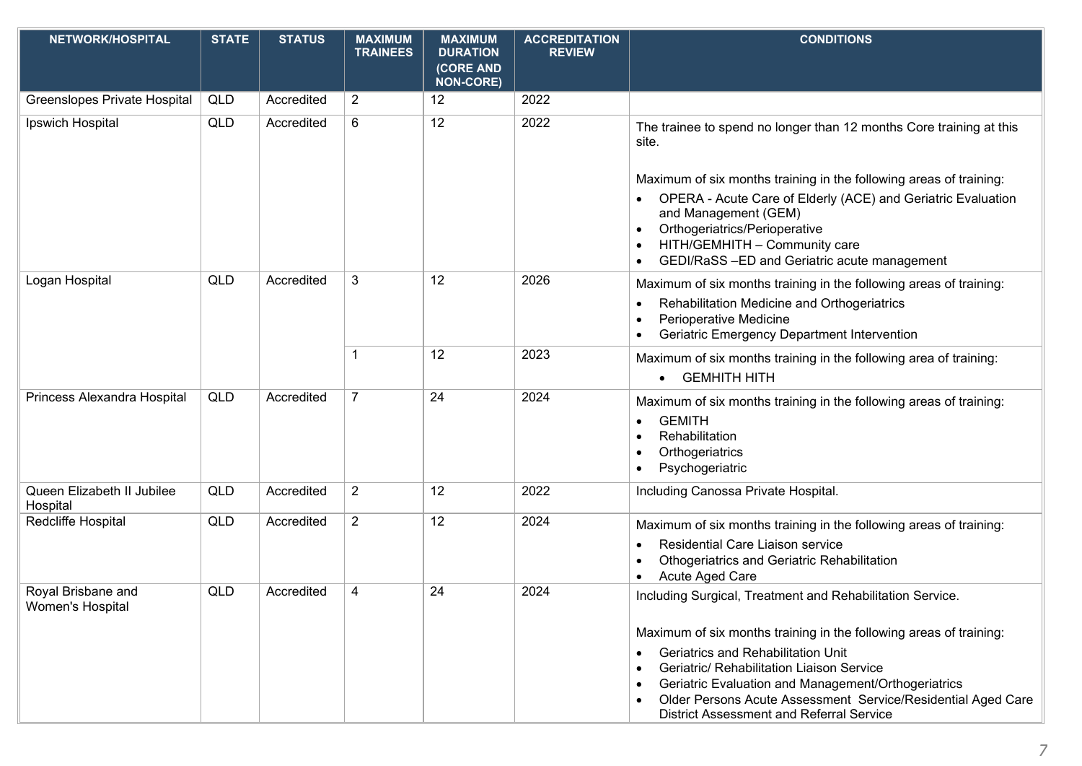| NETWORK/HOSPITAL                       | <b>STATE</b> | <b>STATUS</b> | <b>MAXIMUM</b><br><b>TRAINEES</b> | <b>MAXIMUM</b><br><b>DURATION</b> | <b>ACCREDITATION</b><br><b>REVIEW</b> | <b>CONDITIONS</b>                                                                                                     |
|----------------------------------------|--------------|---------------|-----------------------------------|-----------------------------------|---------------------------------------|-----------------------------------------------------------------------------------------------------------------------|
|                                        |              |               |                                   | (CORE AND<br><b>NON-CORE)</b>     |                                       |                                                                                                                       |
| Greenslopes Private Hospital           | <b>QLD</b>   | Accredited    | $\overline{2}$                    | 12                                | 2022                                  |                                                                                                                       |
| Ipswich Hospital                       | <b>QLD</b>   | Accredited    | 6                                 | 12                                | 2022                                  | The trainee to spend no longer than 12 months Core training at this<br>site.                                          |
|                                        |              |               |                                   |                                   |                                       | Maximum of six months training in the following areas of training:                                                    |
|                                        |              |               |                                   |                                   |                                       | OPERA - Acute Care of Elderly (ACE) and Geriatric Evaluation<br>and Management (GEM)<br>Orthogeriatrics/Perioperative |
|                                        |              |               |                                   |                                   |                                       | HITH/GEMHITH - Community care<br>GEDI/RaSS-ED and Geriatric acute management                                          |
| Logan Hospital                         | QLD          | Accredited    | 3                                 | 12                                | 2026                                  | Maximum of six months training in the following areas of training:                                                    |
|                                        |              |               |                                   |                                   |                                       | Rehabilitation Medicine and Orthogeriatrics<br>٠                                                                      |
|                                        |              |               |                                   |                                   |                                       | Perioperative Medicine<br>Geriatric Emergency Department Intervention                                                 |
|                                        |              |               | -1                                | 12                                | 2023                                  | Maximum of six months training in the following area of training:                                                     |
|                                        |              |               |                                   |                                   |                                       | <b>GEMHITH HITH</b><br>$\bullet$                                                                                      |
| Princess Alexandra Hospital            | QLD          | Accredited    | $\overline{7}$                    | 24                                | 2024                                  | Maximum of six months training in the following areas of training:                                                    |
|                                        |              |               |                                   |                                   |                                       | <b>GEMITH</b><br>Rehabilitation                                                                                       |
|                                        |              |               |                                   |                                   |                                       | Orthogeriatrics                                                                                                       |
| Queen Elizabeth II Jubilee             |              | Accredited    |                                   | 12                                | 2022                                  | Psychogeriatric                                                                                                       |
| Hospital                               | QLD          |               | $\overline{2}$                    |                                   |                                       | Including Canossa Private Hospital.                                                                                   |
| Redcliffe Hospital                     | QLD          | Accredited    | $\overline{2}$                    | 12                                | 2024                                  | Maximum of six months training in the following areas of training:                                                    |
|                                        |              |               |                                   |                                   |                                       | Residential Care Liaison service<br>Othogeriatrics and Geriatric Rehabilitation                                       |
|                                        |              |               |                                   |                                   |                                       | Acute Aged Care                                                                                                       |
| Royal Brisbane and<br>Women's Hospital | <b>QLD</b>   | Accredited    | 4                                 | 24                                | 2024                                  | Including Surgical, Treatment and Rehabilitation Service.                                                             |
|                                        |              |               |                                   |                                   |                                       | Maximum of six months training in the following areas of training:                                                    |
|                                        |              |               |                                   |                                   |                                       | <b>Geriatrics and Rehabilitation Unit</b><br>$\bullet$<br>Geriatric/ Rehabilitation Liaison Service                   |
|                                        |              |               |                                   |                                   |                                       | Geriatric Evaluation and Management/Orthogeriatrics                                                                   |
|                                        |              |               |                                   |                                   |                                       | Older Persons Acute Assessment Service/Residential Aged Care<br><b>District Assessment and Referral Service</b>       |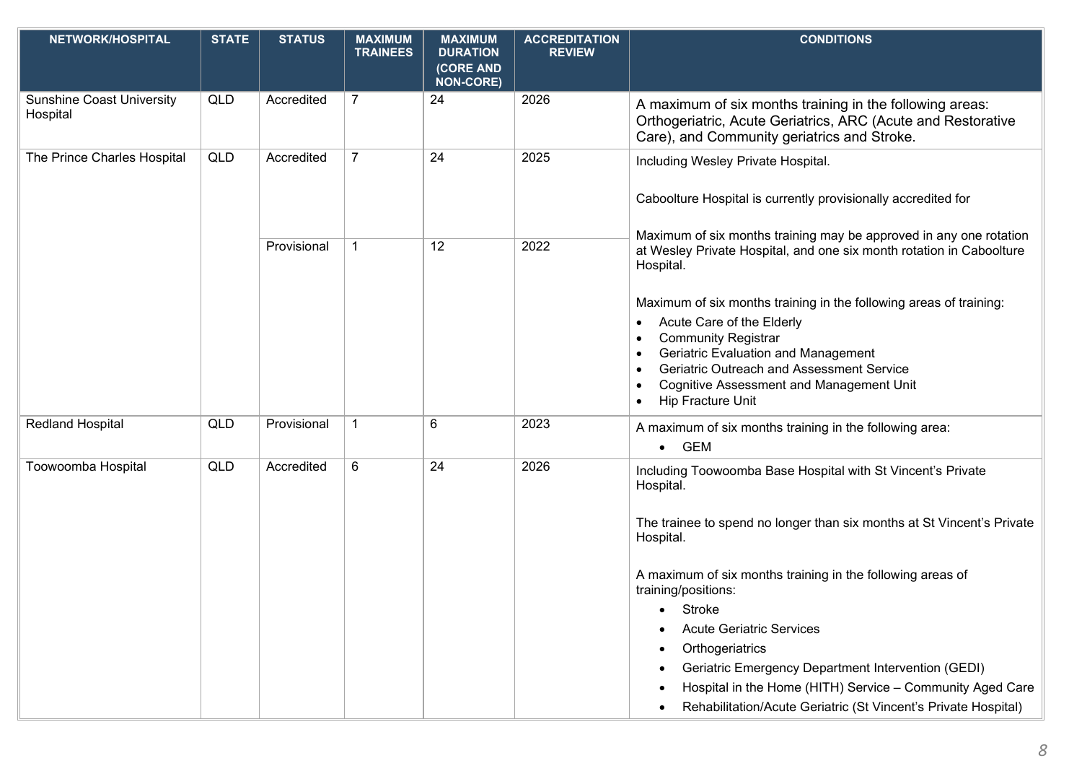| <b>NETWORK/HOSPITAL</b>                      | <b>STATE</b> | <b>STATUS</b> | <b>MAXIMUM</b><br><b>TRAINEES</b> | <b>MAXIMUM</b><br><b>DURATION</b><br>(CORE AND<br><b>NON-CORE)</b> | <b>ACCREDITATION</b><br><b>REVIEW</b> | <b>CONDITIONS</b>                                                                                                                                                                                                                                                                                                                                                                                                                                                                                         |
|----------------------------------------------|--------------|---------------|-----------------------------------|--------------------------------------------------------------------|---------------------------------------|-----------------------------------------------------------------------------------------------------------------------------------------------------------------------------------------------------------------------------------------------------------------------------------------------------------------------------------------------------------------------------------------------------------------------------------------------------------------------------------------------------------|
| <b>Sunshine Coast University</b><br>Hospital | QLD          | Accredited    | $\overline{7}$                    | 24                                                                 | 2026                                  | A maximum of six months training in the following areas:<br>Orthogeriatric, Acute Geriatrics, ARC (Acute and Restorative<br>Care), and Community geriatrics and Stroke.                                                                                                                                                                                                                                                                                                                                   |
| The Prince Charles Hospital                  | QLD          | Accredited    | $\overline{7}$                    | 24                                                                 | 2025                                  | Including Wesley Private Hospital.<br>Caboolture Hospital is currently provisionally accredited for<br>Maximum of six months training may be approved in any one rotation                                                                                                                                                                                                                                                                                                                                 |
|                                              |              | Provisional   |                                   | 12                                                                 | 2022                                  | at Wesley Private Hospital, and one six month rotation in Caboolture<br>Hospital.<br>Maximum of six months training in the following areas of training:<br>Acute Care of the Elderly<br>$\bullet$<br><b>Community Registrar</b><br>Geriatric Evaluation and Management<br>Geriatric Outreach and Assessment Service<br><b>Cognitive Assessment and Management Unit</b><br>Hip Fracture Unit                                                                                                               |
| <b>Redland Hospital</b>                      | <b>QLD</b>   | Provisional   | $\mathbf{1}$                      | 6                                                                  | 2023                                  | A maximum of six months training in the following area:<br><b>GEM</b><br>$\bullet$                                                                                                                                                                                                                                                                                                                                                                                                                        |
| Toowoomba Hospital                           | <b>QLD</b>   | Accredited    | 6                                 | 24                                                                 | 2026                                  | Including Toowoomba Base Hospital with St Vincent's Private<br>Hospital.<br>The trainee to spend no longer than six months at St Vincent's Private<br>Hospital.<br>A maximum of six months training in the following areas of<br>training/positions:<br>Stroke<br><b>Acute Geriatric Services</b><br>Orthogeriatrics<br>Geriatric Emergency Department Intervention (GEDI)<br>Hospital in the Home (HITH) Service - Community Aged Care<br>Rehabilitation/Acute Geriatric (St Vincent's Private Hospital) |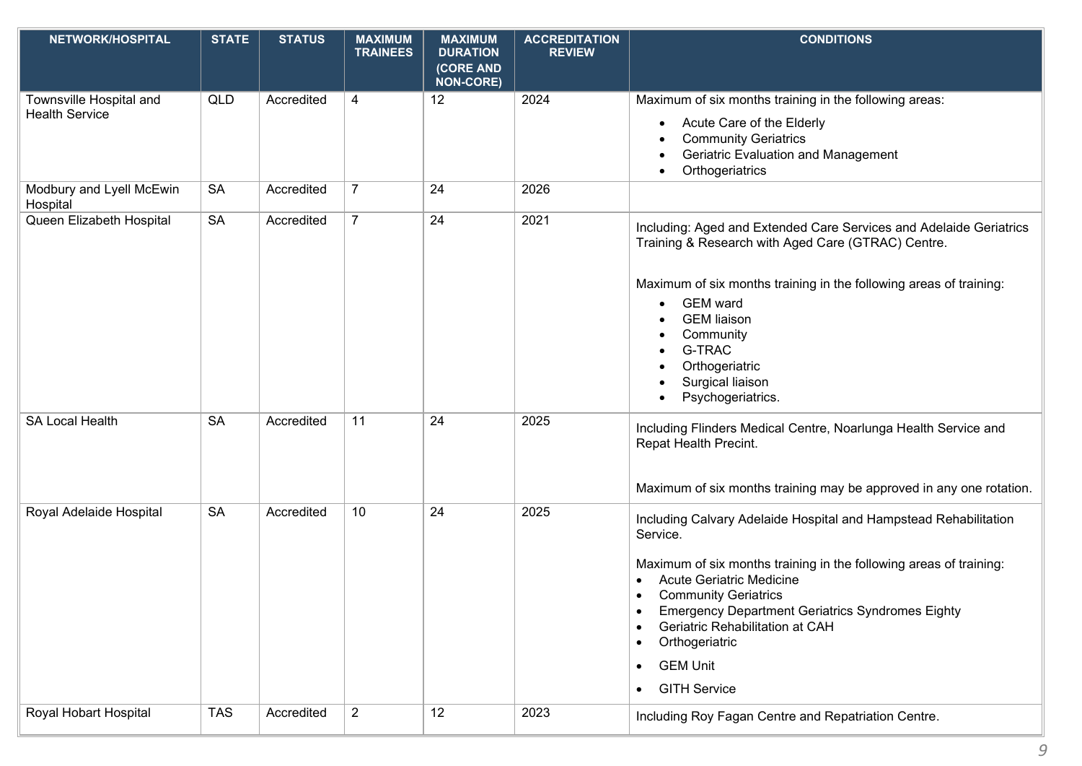| NETWORK/HOSPITAL                                 | <b>STATE</b> | <b>STATUS</b> | <b>MAXIMUM</b><br><b>TRAINEES</b> | <b>MAXIMUM</b><br><b>DURATION</b><br>(CORE AND<br><b>NON-CORE)</b> | <b>ACCREDITATION</b><br><b>REVIEW</b> | <b>CONDITIONS</b>                                                                                                                                                                                                                                                                                                                                                                                                                  |
|--------------------------------------------------|--------------|---------------|-----------------------------------|--------------------------------------------------------------------|---------------------------------------|------------------------------------------------------------------------------------------------------------------------------------------------------------------------------------------------------------------------------------------------------------------------------------------------------------------------------------------------------------------------------------------------------------------------------------|
| Townsville Hospital and<br><b>Health Service</b> | QLD          | Accredited    | 4                                 | 12                                                                 | 2024                                  | Maximum of six months training in the following areas:<br>Acute Care of the Elderly<br><b>Community Geriatrics</b><br><b>Geriatric Evaluation and Management</b><br>Orthogeriatrics                                                                                                                                                                                                                                                |
| Modbury and Lyell McEwin<br>Hospital             | <b>SA</b>    | Accredited    | $\overline{7}$                    | 24                                                                 | 2026                                  |                                                                                                                                                                                                                                                                                                                                                                                                                                    |
| Queen Elizabeth Hospital                         | <b>SA</b>    | Accredited    | $\overline{7}$                    | 24                                                                 | 2021                                  | Including: Aged and Extended Care Services and Adelaide Geriatrics<br>Training & Research with Aged Care (GTRAC) Centre.<br>Maximum of six months training in the following areas of training:<br><b>GEM</b> ward<br>$\bullet$<br><b>GEM</b> liaison<br>Community<br><b>G-TRAC</b><br>Orthogeriatric<br>Surgical liaison<br>Psychogeriatrics.                                                                                      |
| <b>SA Local Health</b>                           | <b>SA</b>    | Accredited    | 11                                | 24                                                                 | 2025                                  | Including Flinders Medical Centre, Noarlunga Health Service and<br>Repat Health Precint.<br>Maximum of six months training may be approved in any one rotation.                                                                                                                                                                                                                                                                    |
| Royal Adelaide Hospital                          | <b>SA</b>    | Accredited    | 10                                | 24                                                                 | 2025                                  | Including Calvary Adelaide Hospital and Hampstead Rehabilitation<br>Service.<br>Maximum of six months training in the following areas of training:<br><b>Acute Geriatric Medicine</b><br><b>Community Geriatrics</b><br>$\bullet$<br><b>Emergency Department Geriatrics Syndromes Eighty</b><br>Geriatric Rehabilitation at CAH<br>Orthogeriatric<br>$\bullet$<br><b>GEM Unit</b><br>$\bullet$<br><b>GITH Service</b><br>$\bullet$ |
| Royal Hobart Hospital                            | <b>TAS</b>   | Accredited    | $\overline{2}$                    | 12                                                                 | 2023                                  | Including Roy Fagan Centre and Repatriation Centre.                                                                                                                                                                                                                                                                                                                                                                                |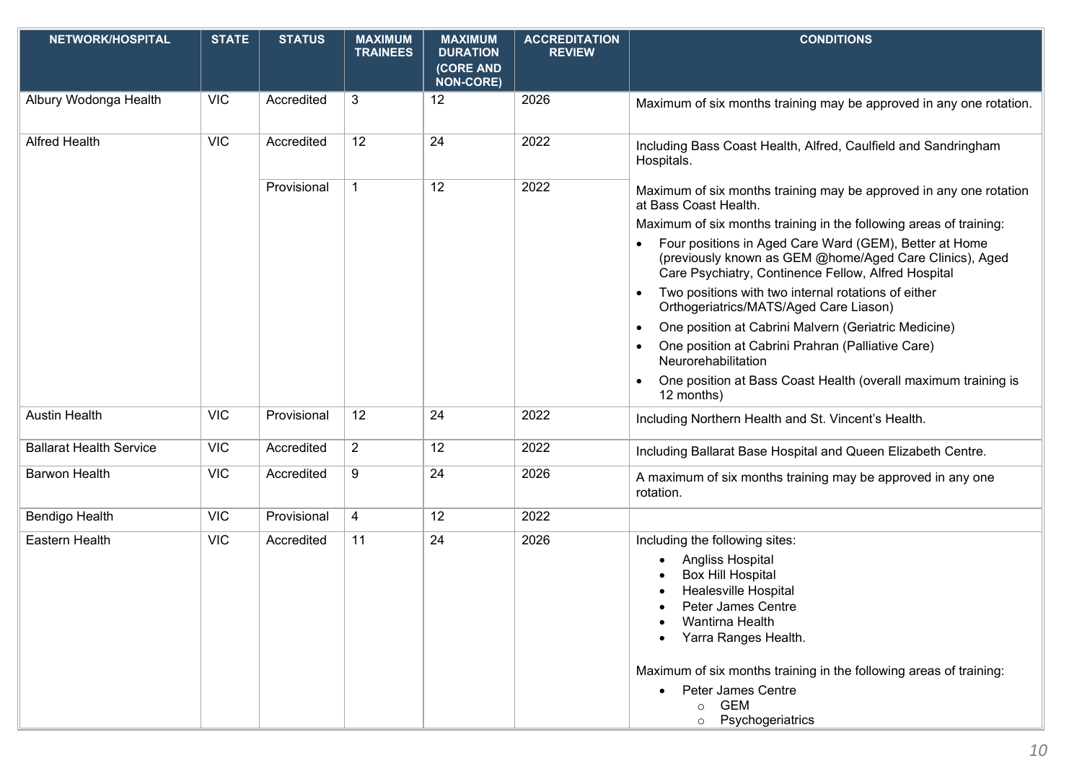| NETWORK/HOSPITAL               | <b>STATE</b> | <b>STATUS</b> | <b>MAXIMUM</b><br><b>TRAINEES</b> | <b>MAXIMUM</b><br><b>DURATION</b><br>(CORE AND<br><b>NON-CORE)</b> | <b>ACCREDITATION</b><br><b>REVIEW</b> | <b>CONDITIONS</b>                                                                                                                                                        |
|--------------------------------|--------------|---------------|-----------------------------------|--------------------------------------------------------------------|---------------------------------------|--------------------------------------------------------------------------------------------------------------------------------------------------------------------------|
| Albury Wodonga Health          | <b>VIC</b>   | Accredited    | 3                                 | 12                                                                 | 2026                                  | Maximum of six months training may be approved in any one rotation.                                                                                                      |
| <b>Alfred Health</b>           | <b>VIC</b>   | Accredited    | 12                                | 24                                                                 | 2022                                  | Including Bass Coast Health, Alfred, Caulfield and Sandringham<br>Hospitals.                                                                                             |
|                                |              | Provisional   | 1                                 | 12                                                                 | 2022                                  | Maximum of six months training may be approved in any one rotation<br>at Bass Coast Health.                                                                              |
|                                |              |               |                                   |                                                                    |                                       | Maximum of six months training in the following areas of training:                                                                                                       |
|                                |              |               |                                   |                                                                    |                                       | Four positions in Aged Care Ward (GEM), Better at Home<br>(previously known as GEM @home/Aged Care Clinics), Aged<br>Care Psychiatry, Continence Fellow, Alfred Hospital |
|                                |              |               |                                   |                                                                    |                                       | Two positions with two internal rotations of either<br>Orthogeriatrics/MATS/Aged Care Liason)                                                                            |
|                                |              |               |                                   |                                                                    |                                       | One position at Cabrini Malvern (Geriatric Medicine)<br>$\bullet$                                                                                                        |
|                                |              |               |                                   |                                                                    |                                       | One position at Cabrini Prahran (Palliative Care)<br>Neurorehabilitation                                                                                                 |
|                                |              |               |                                   |                                                                    |                                       | One position at Bass Coast Health (overall maximum training is<br>12 months)                                                                                             |
| <b>Austin Health</b>           | <b>VIC</b>   | Provisional   | 12                                | 24                                                                 | 2022                                  | Including Northern Health and St. Vincent's Health.                                                                                                                      |
| <b>Ballarat Health Service</b> | <b>VIC</b>   | Accredited    | $\overline{2}$                    | 12                                                                 | 2022                                  | Including Ballarat Base Hospital and Queen Elizabeth Centre.                                                                                                             |
| <b>Barwon Health</b>           | <b>VIC</b>   | Accredited    | 9                                 | 24                                                                 | 2026                                  | A maximum of six months training may be approved in any one<br>rotation.                                                                                                 |
| <b>Bendigo Health</b>          | <b>VIC</b>   | Provisional   | 4                                 | 12                                                                 | 2022                                  |                                                                                                                                                                          |
| Eastern Health                 | <b>VIC</b>   | Accredited    | 11                                | 24                                                                 | 2026                                  | Including the following sites:                                                                                                                                           |
|                                |              |               |                                   |                                                                    |                                       | Angliss Hospital                                                                                                                                                         |
|                                |              |               |                                   |                                                                    |                                       | <b>Box Hill Hospital</b>                                                                                                                                                 |
|                                |              |               |                                   |                                                                    |                                       | <b>Healesville Hospital</b><br>Peter James Centre                                                                                                                        |
|                                |              |               |                                   |                                                                    |                                       | Wantirna Health                                                                                                                                                          |
|                                |              |               |                                   |                                                                    |                                       | Yarra Ranges Health.                                                                                                                                                     |
|                                |              |               |                                   |                                                                    |                                       | Maximum of six months training in the following areas of training:                                                                                                       |
|                                |              |               |                                   |                                                                    |                                       | Peter James Centre                                                                                                                                                       |
|                                |              |               |                                   |                                                                    |                                       | <b>GEM</b><br>$\circ$<br>Psychogeriatrics<br>$\circ$                                                                                                                     |
|                                |              |               |                                   |                                                                    |                                       |                                                                                                                                                                          |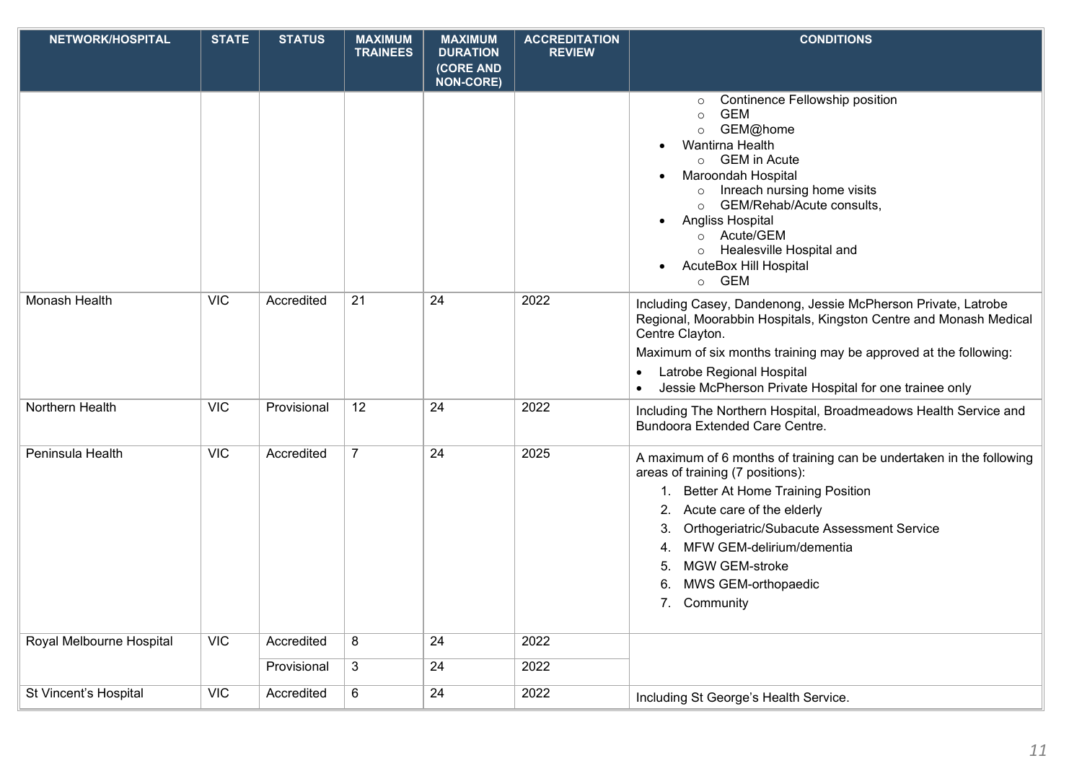| NETWORK/HOSPITAL         | <b>STATE</b> | <b>STATUS</b> | <b>MAXIMUM</b><br><b>TRAINEES</b> | <b>MAXIMUM</b><br><b>DURATION</b> | <b>ACCREDITATION</b><br><b>REVIEW</b> | <b>CONDITIONS</b>                                                                                                                                                                                                                                                                                                                                                             |
|--------------------------|--------------|---------------|-----------------------------------|-----------------------------------|---------------------------------------|-------------------------------------------------------------------------------------------------------------------------------------------------------------------------------------------------------------------------------------------------------------------------------------------------------------------------------------------------------------------------------|
|                          |              |               |                                   | (CORE AND<br><b>NON-CORE)</b>     |                                       |                                                                                                                                                                                                                                                                                                                                                                               |
|                          |              |               |                                   |                                   |                                       | Continence Fellowship position<br>$\circ$<br><b>GEM</b><br>$\circ$<br>GEM@home<br>$\circ$<br>Wantirna Health<br><b>GEM in Acute</b><br>$\circ$<br>Maroondah Hospital<br>Inreach nursing home visits<br>GEM/Rehab/Acute consults,<br>$\circ$<br>Angliss Hospital<br>Acute/GEM<br>$\circ$<br>Healesville Hospital and<br><b>AcuteBox Hill Hospital</b><br><b>GEM</b><br>$\circ$ |
| Monash Health            | <b>VIC</b>   | Accredited    | 21                                | 24                                | 2022                                  | Including Casey, Dandenong, Jessie McPherson Private, Latrobe<br>Regional, Moorabbin Hospitals, Kingston Centre and Monash Medical<br>Centre Clayton.<br>Maximum of six months training may be approved at the following:<br>Latrobe Regional Hospital<br>Jessie McPherson Private Hospital for one trainee only                                                              |
| Northern Health          | <b>VIC</b>   | Provisional   | 12                                | 24                                | 2022                                  | Including The Northern Hospital, Broadmeadows Health Service and<br><b>Bundoora Extended Care Centre.</b>                                                                                                                                                                                                                                                                     |
| Peninsula Health         | <b>VIC</b>   | Accredited    | $\overline{7}$                    | 24                                | 2025                                  | A maximum of 6 months of training can be undertaken in the following<br>areas of training (7 positions):<br><b>Better At Home Training Position</b><br>$1_{\cdot}$<br>Acute care of the elderly<br>Orthogeriatric/Subacute Assessment Service<br>3.<br>MFW GEM-delirium/dementia<br>4.<br><b>MGW GEM-stroke</b><br>5.<br>MWS GEM-orthopaedic<br>6.<br>Community<br>7.         |
| Royal Melbourne Hospital | <b>VIC</b>   | Accredited    | 8                                 | 24                                | 2022                                  |                                                                                                                                                                                                                                                                                                                                                                               |
|                          |              | Provisional   | 3                                 | 24                                | 2022                                  |                                                                                                                                                                                                                                                                                                                                                                               |
| St Vincent's Hospital    | <b>VIC</b>   | Accredited    | 6                                 | 24                                | 2022                                  | Including St George's Health Service.                                                                                                                                                                                                                                                                                                                                         |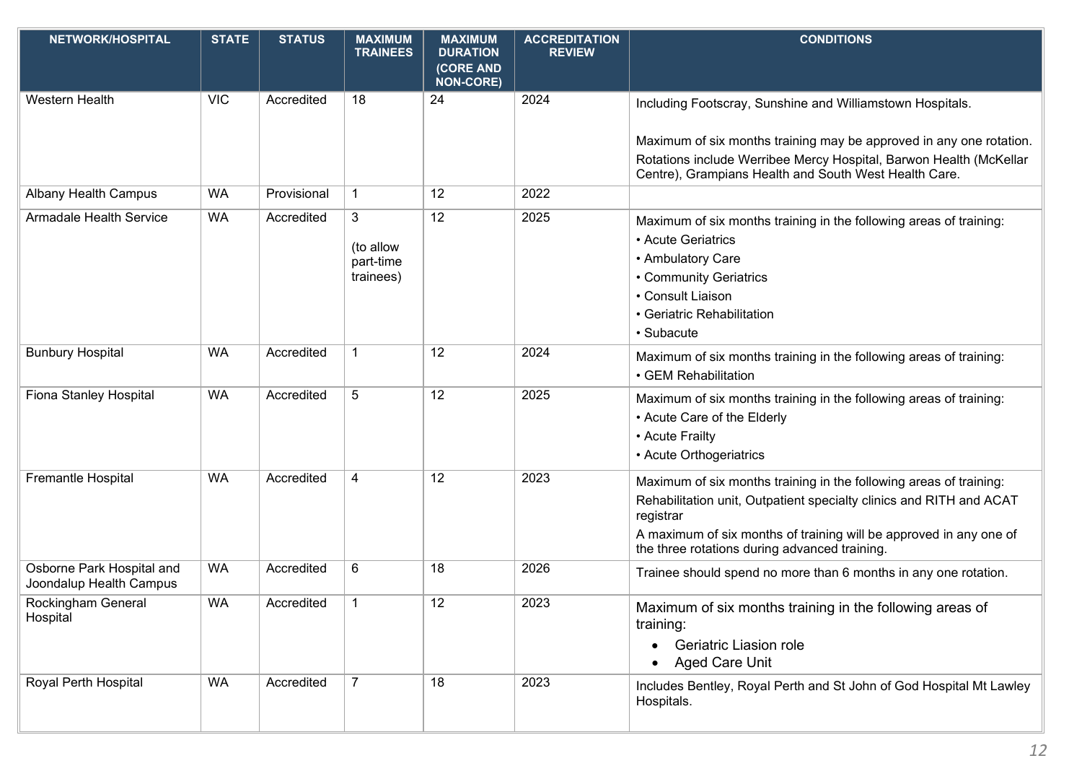| <b>NETWORK/HOSPITAL</b>                              | <b>STATE</b> | <b>STATUS</b> | <b>MAXIMUM</b><br><b>TRAINEES</b>        | <b>MAXIMUM</b><br><b>DURATION</b><br>(CORE AND<br><b>NON-CORE)</b> | <b>ACCREDITATION</b><br><b>REVIEW</b> | <b>CONDITIONS</b>                                                                                                                                                                                                                                                             |
|------------------------------------------------------|--------------|---------------|------------------------------------------|--------------------------------------------------------------------|---------------------------------------|-------------------------------------------------------------------------------------------------------------------------------------------------------------------------------------------------------------------------------------------------------------------------------|
| <b>Western Health</b>                                | <b>VIC</b>   | Accredited    | 18                                       | 24                                                                 | 2024                                  | Including Footscray, Sunshine and Williamstown Hospitals.<br>Maximum of six months training may be approved in any one rotation.<br>Rotations include Werribee Mercy Hospital, Barwon Health (McKellar                                                                        |
| <b>Albany Health Campus</b>                          | <b>WA</b>    | Provisional   | $\mathbf{1}$                             | 12                                                                 | 2022                                  | Centre), Grampians Health and South West Health Care.                                                                                                                                                                                                                         |
| <b>Armadale Health Service</b>                       | <b>WA</b>    | Accredited    | 3<br>(to allow<br>part-time<br>trainees) | 12                                                                 | 2025                                  | Maximum of six months training in the following areas of training:<br>• Acute Geriatrics<br>• Ambulatory Care<br>• Community Geriatrics<br>• Consult Liaison<br>• Geriatric Rehabilitation<br>· Subacute                                                                      |
| <b>Bunbury Hospital</b>                              | <b>WA</b>    | Accredited    | 1                                        | 12                                                                 | 2024                                  | Maximum of six months training in the following areas of training:<br>• GEM Rehabilitation                                                                                                                                                                                    |
| Fiona Stanley Hospital                               | <b>WA</b>    | Accredited    | 5                                        | 12                                                                 | 2025                                  | Maximum of six months training in the following areas of training:<br>• Acute Care of the Elderly<br>• Acute Frailty<br>• Acute Orthogeriatrics                                                                                                                               |
| Fremantle Hospital                                   | <b>WA</b>    | Accredited    | 4                                        | 12                                                                 | 2023                                  | Maximum of six months training in the following areas of training:<br>Rehabilitation unit, Outpatient specialty clinics and RITH and ACAT<br>registrar<br>A maximum of six months of training will be approved in any one of<br>the three rotations during advanced training. |
| Osborne Park Hospital and<br>Joondalup Health Campus | <b>WA</b>    | Accredited    | 6                                        | 18                                                                 | 2026                                  | Trainee should spend no more than 6 months in any one rotation.                                                                                                                                                                                                               |
| Rockingham General<br>Hospital                       | WA           | Accredited    | $\mathbf 1$                              | 12                                                                 | 2023                                  | Maximum of six months training in the following areas of<br>training:<br><b>Geriatric Liasion role</b><br>Aged Care Unit                                                                                                                                                      |
| Royal Perth Hospital                                 | <b>WA</b>    | Accredited    | $\overline{7}$                           | 18                                                                 | 2023                                  | Includes Bentley, Royal Perth and St John of God Hospital Mt Lawley<br>Hospitals.                                                                                                                                                                                             |